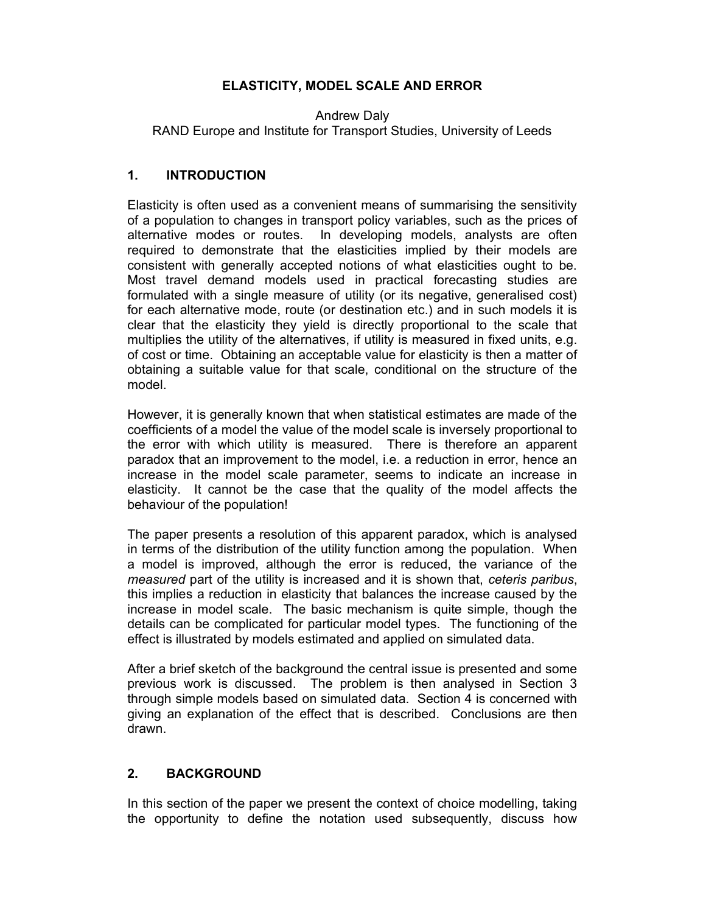### ELASTICITY, MODEL SCALE AND ERROR

Andrew Daly

RAND Europe and Institute for Transport Studies, University of Leeds

### 1. INTRODUCTION

Elasticity is often used as a convenient means of summarising the sensitivity of a population to changes in transport policy variables, such as the prices of alternative modes or routes. In developing models, analysts are often required to demonstrate that the elasticities implied by their models are consistent with generally accepted notions of what elasticities ought to be. Most travel demand models used in practical forecasting studies are formulated with a single measure of utility (or its negative, generalised cost) for each alternative mode, route (or destination etc.) and in such models it is clear that the elasticity they yield is directly proportional to the scale that multiplies the utility of the alternatives, if utility is measured in fixed units, e.g. of cost or time. Obtaining an acceptable value for elasticity is then a matter of obtaining a suitable value for that scale, conditional on the structure of the model.

However, it is generally known that when statistical estimates are made of the coefficients of a model the value of the model scale is inversely proportional to the error with which utility is measured. There is therefore an apparent paradox that an improvement to the model, i.e. a reduction in error, hence an increase in the model scale parameter, seems to indicate an increase in elasticity. It cannot be the case that the quality of the model affects the behaviour of the population!

The paper presents a resolution of this apparent paradox, which is analysed in terms of the distribution of the utility function among the population. When a model is improved, although the error is reduced, the variance of the measured part of the utility is increased and it is shown that, ceteris paribus, this implies a reduction in elasticity that balances the increase caused by the increase in model scale. The basic mechanism is quite simple, though the details can be complicated for particular model types. The functioning of the effect is illustrated by models estimated and applied on simulated data.

After a brief sketch of the background the central issue is presented and some previous work is discussed. The problem is then analysed in Section 3 through simple models based on simulated data. Section 4 is concerned with giving an explanation of the effect that is described. Conclusions are then drawn.

### 2. BACKGROUND

In this section of the paper we present the context of choice modelling, taking the opportunity to define the notation used subsequently, discuss how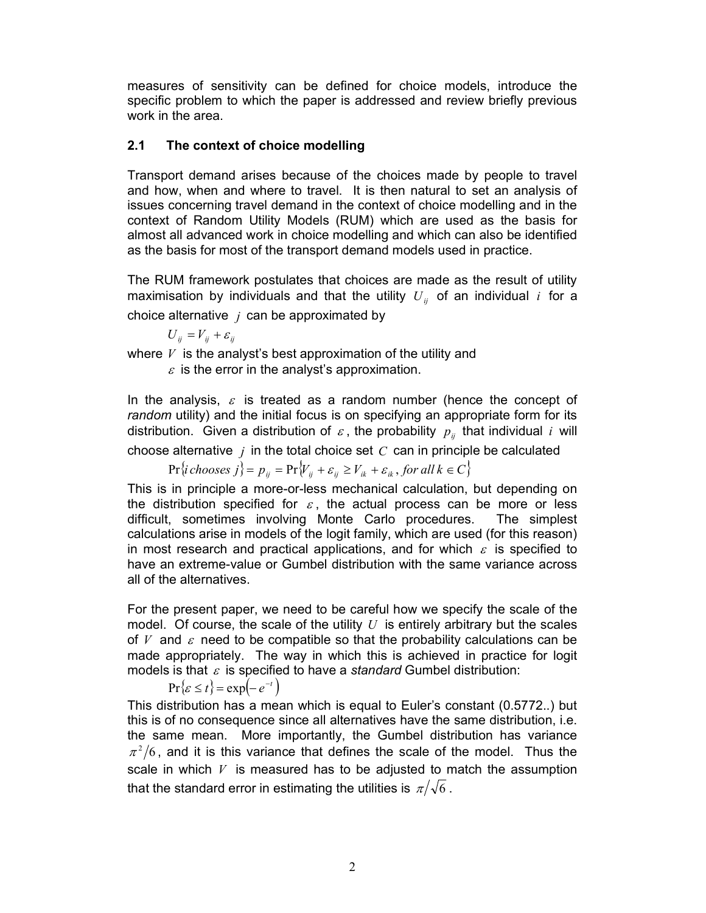measures of sensitivity can be defined for choice models, introduce the specific problem to which the paper is addressed and review briefly previous work in the area.

### 2.1 The context of choice modelling

Transport demand arises because of the choices made by people to travel and how, when and where to travel. It is then natural to set an analysis of issues concerning travel demand in the context of choice modelling and in the context of Random Utility Models (RUM) which are used as the basis for almost all advanced work in choice modelling and which can also be identified as the basis for most of the transport demand models used in practice.

The RUM framework postulates that choices are made as the result of utility maximisation by individuals and that the utility  $U_{ii}$  of an individual i for a choice alternative  $j$  can be approximated by

 $U_{ij} = V_{ij} + \varepsilon_{ij}$ 

where  $V$  is the analyst's best approximation of the utility and

 $\varepsilon$  is the error in the analyst's approximation.

In the analysis,  $\varepsilon$  is treated as a random number (hence the concept of random utility) and the initial focus is on specifying an appropriate form for its distribution. Given a distribution of  $\varepsilon$ , the probability  $p_{ij}$  that individual i will

choose alternative  $j$  in the total choice set  $C$  can in principle be calculated

$$
\Pr\{i \, chooses \, j\} = p_{ij} = \Pr\{V_{ij} + \varepsilon_{ij} \ge V_{ik} + \varepsilon_{ik}, \, for \, all \, k \in C\}
$$

This is in principle a more-or-less mechanical calculation, but depending on the distribution specified for  $\varepsilon$ , the actual process can be more or less difficult, sometimes involving Monte Carlo procedures. The simplest calculations arise in models of the logit family, which are used (for this reason) in most research and practical applications, and for which  $\varepsilon$  is specified to have an extreme-value or Gumbel distribution with the same variance across all of the alternatives.

For the present paper, we need to be careful how we specify the scale of the model. Of course, the scale of the utility  $U$  is entirely arbitrary but the scales of V and  $\varepsilon$  need to be compatible so that the probability calculations can be made appropriately. The way in which this is achieved in practice for logit models is that  $\varepsilon$  is specified to have a standard Gumbel distribution:

$$
\Pr\{\varepsilon \le t\} = \exp\left(-e^{-t}\right)
$$

This distribution has a mean which is equal to Euler's constant (0.5772..) but this is of no consequence since all alternatives have the same distribution, i.e. the same mean. More importantly, the Gumbel distribution has variance  $\pi^2/6$ , and it is this variance that defines the scale of the model. Thus the scale in which  $V$  is measured has to be adjusted to match the assumption that the standard error in estimating the utilities is  $\pi/\sqrt{6}$ .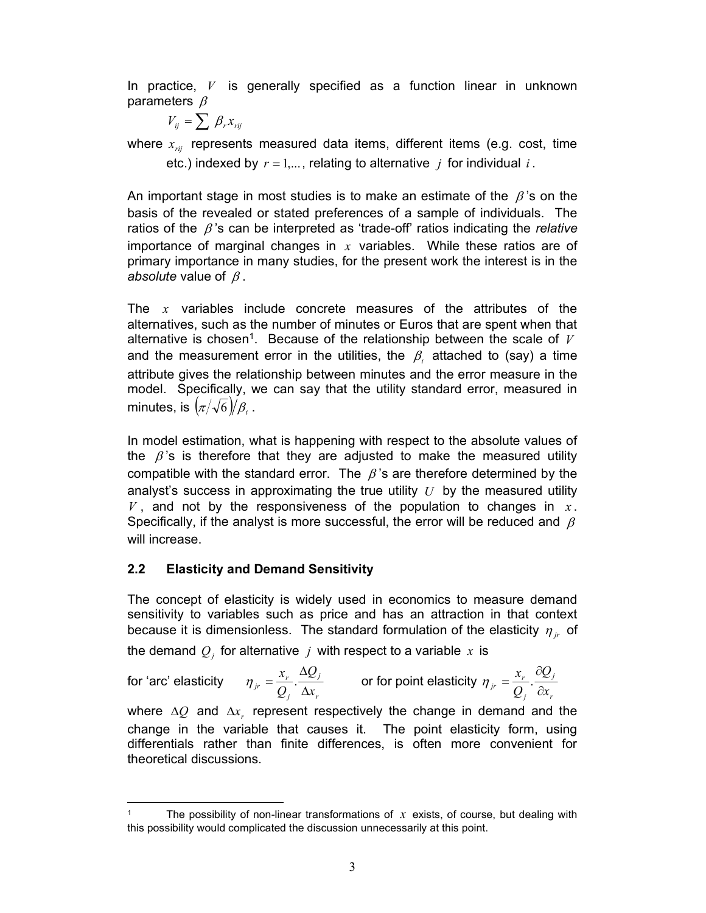In practice,  $V$  is generally specified as a function linear in unknown parameters  $\beta$ 

$$
V_{ij} = \sum \beta_r x_{rij}
$$

where  $x_{\text{rij}}$  represents measured data items, different items (e.g. cost, time etc.) indexed by  $r = 1,...$ , relating to alternative j for individual i.

An important stage in most studies is to make an estimate of the  $\beta$ 's on the basis of the revealed or stated preferences of a sample of individuals. The ratios of the  $\beta$ 's can be interpreted as 'trade-off' ratios indicating the relative importance of marginal changes in  $x$  variables. While these ratios are of primary importance in many studies, for the present work the interest is in the absolute value of  $\beta$ .

The  $x$  variables include concrete measures of the attributes of the alternatives, such as the number of minutes or Euros that are spent when that alternative is chosen<sup>1</sup>. Because of the relationship between the scale of  $V$ and the measurement error in the utilities, the  $\,\beta_{_t}\,$  attached to (say) a time attribute gives the relationship between minutes and the error measure in the model. Specifically, we can say that the utility standard error, measured in minutes, is  $(\pi/\sqrt{6})/\beta_{\scriptscriptstyle{t}}$  .

In model estimation, what is happening with respect to the absolute values of the  $\beta$ 's is therefore that they are adjusted to make the measured utility compatible with the standard error. The  $\beta$ 's are therefore determined by the analyst's success in approximating the true utility  $U$  by the measured utility  $V$ , and not by the responsiveness of the population to changes in  $x$ . Specifically, if the analyst is more successful, the error will be reduced and  $\beta$ will increase.

## 2.2 Elasticity and Demand Sensitivity

The concept of elasticity is widely used in economics to measure demand sensitivity to variables such as price and has an attraction in that context because it is dimensionless. The standard formulation of the elasticity  $\eta_{ir}$  of the demand  $\mathcal{Q}_j$  for alternative  $\,j\,$  with respect to a variable  $\,x\,$  is

for 'arc' elasticity r j j  $r = \frac{x_r}{Q_i} \cdot \frac{\Delta z}{\Delta x_i}$  $\overline{\varrho}_i$  $\overline{\varrho}$ x  $\Delta$  $\Delta$  $\eta_{ir} = \frac{x_r}{\Omega} \cdot \frac{-z_j}{\Omega}$  or for point elasticity r j j  $r = \frac{x_r}{Q_i} \cdot \frac{\delta g}{\delta x_i}$  $\overline{\varrho}$  $\overline{\varrho}_i$ x  $\partial$  $\partial$  $\eta_{ir} = \frac{\lambda_r}{\lambda}$ .

where  $\Delta Q$  and  $\Delta x$ , represent respectively the change in demand and the change in the variable that causes it. The point elasticity form, using differentials rather than finite differences, is often more convenient for theoretical discussions.

<sup>1</sup> The possibility of non-linear transformations of  $x$  exists, of course, but dealing with this possibility would complicated the discussion unnecessarily at this point.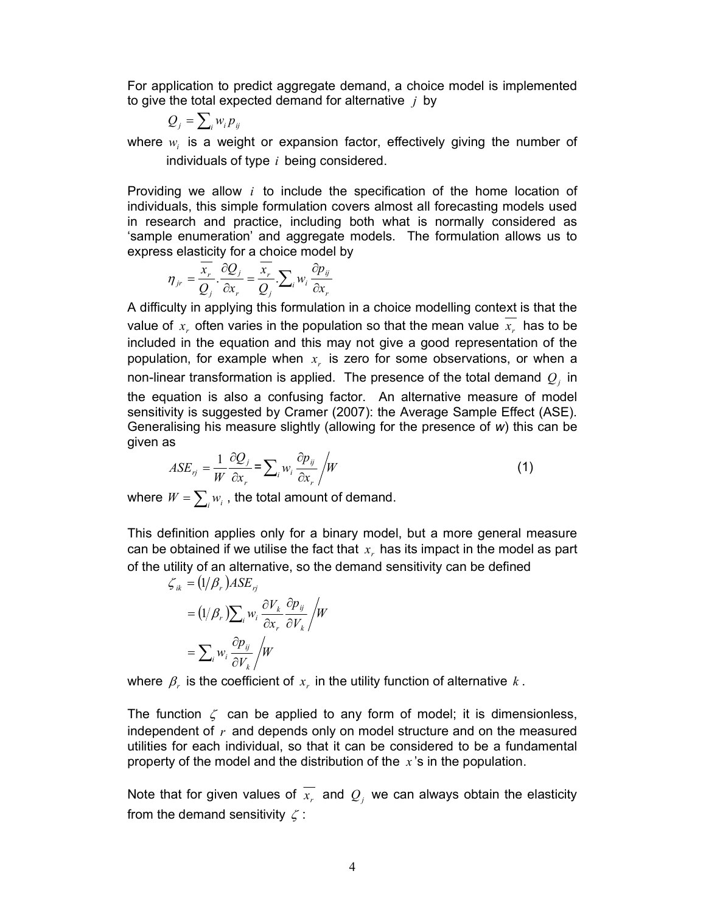For application to predict aggregate demand, a choice model is implemented to give the total expected demand for alternative  $j$  by

$$
Q_j = \sum_i w_i p_{ij}
$$

where  $w_i$  is a weight or expansion factor, effectively giving the number of individuals of type  $i$  being considered.

Providing we allow  $i$  to include the specification of the home location of individuals, this simple formulation covers almost all forecasting models used in research and practice, including both what is normally considered as 'sample enumeration' and aggregate models. The formulation allows us to express elasticity for a choice model by

$$
\eta_{jr} = \frac{\overline{x_r}}{Q_j} \cdot \frac{\partial Q_j}{\partial x_r} = \frac{\overline{x_r}}{Q_j} \cdot \sum_i w_i \frac{\partial p_{ij}}{\partial x_r}
$$

A difficulty in applying this formulation in a choice modelling context is that the value of  $x_r$  often varies in the population so that the mean value  $\overline{x_r}$  has to be included in the equation and this may not give a good representation of the population, for example when  $x<sub>r</sub>$  is zero for some observations, or when a non-linear transformation is applied. The presence of the total demand  $\mathcal{Q}_j$  in the equation is also a confusing factor. An alternative measure of model sensitivity is suggested by Cramer (2007): the Average Sample Effect (ASE). Generalising his measure slightly (allowing for the presence of w) this can be given as and the mean valuation in a cloude independent<br>of  $x$ , often varies in the population so that the mean value  $x$ , has to be<br>d in the equation and this may not give a good representation of the<br>tion, for example when  $x$ ,

$$
ASE_{rj} = \frac{1}{W} \frac{\partial Q_j}{\partial x_r} = \sum_i w_i \frac{\partial p_{ij}}{\partial x_r} / W
$$
 (1)

where  $W=\sum_i w_i$  , the total amount of demand.

This definition applies only for a binary model, but a more general measure can be obtained if we utilise the fact that  $x<sub>r</sub>$  has its impact in the model as part of the utility of an alternative, so the demand sensitivity can be defined

$$
\zeta_{ik} = (1/\beta_r) ASE_{rj}
$$
  
=  $(1/\beta_r) \sum_i w_i \frac{\partial V_k}{\partial x_r} \frac{\partial p_{ij}}{\partial V_k} / W$   
=  $\sum_i w_i \frac{\partial p_{ij}}{\partial V_k} / W$ 

where  $\,\beta_{_r}$  is the coefficient of  $\,x_{_r}$  in the utility function of alternative  $\,k$  .

The function  $\zeta$  can be applied to any form of model; it is dimensionless, independent of  $r$  and depends only on model structure and on the measured utilities for each individual, so that it can be considered to be a fundamental property of the model and the distribution of the  $x$ 's in the population.

Note that for given values of  $x_r$  and  $\overline{Q}_j$  we can always obtain the elasticity from the demand sensitivity  $\zeta$ :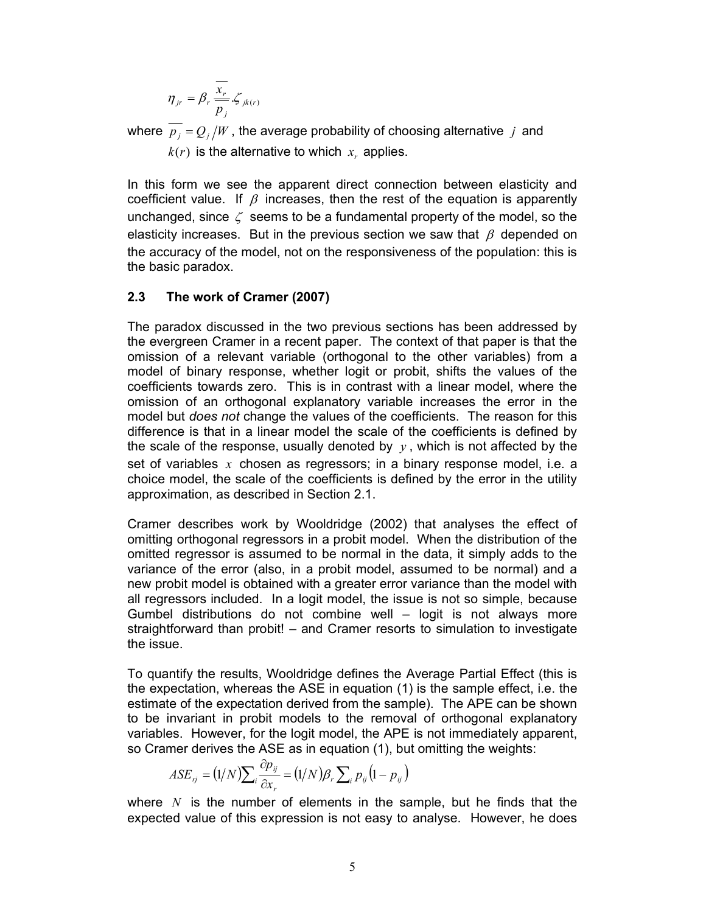$$
\eta_{jr} = \beta_r \frac{\overline{x_r}}{\overline{p_j}} \zeta_{jk(r)}
$$

where  $\overline{p_j} = Q_j / W$ , the average probability of choosing alternative j and  $k(r)$  is the alternative to which  $x<sub>r</sub>$  applies.

In this form we see the apparent direct connection between elasticity and coefficient value. If  $\beta$  increases, then the rest of the equation is apparently unchanged, since  $\zeta$  seems to be a fundamental property of the model, so the elasticity increases. But in the previous section we saw that  $\beta$  depended on the accuracy of the model, not on the responsiveness of the population: this is the basic paradox.

#### 2.3 The work of Cramer (2007)

The paradox discussed in the two previous sections has been addressed by the evergreen Cramer in a recent paper. The context of that paper is that the omission of a relevant variable (orthogonal to the other variables) from a model of binary response, whether logit or probit, shifts the values of the coefficients towards zero. This is in contrast with a linear model, where the omission of an orthogonal explanatory variable increases the error in the model but *does not* change the values of the coefficients. The reason for this difference is that in a linear model the scale of the coefficients is defined by the scale of the response, usually denoted by  $y$ , which is not affected by the set of variables  $x$  chosen as regressors; in a binary response model, i.e. a choice model, the scale of the coefficients is defined by the error in the utility approximation, as described in Section 2.1.

Cramer describes work by Wooldridge (2002) that analyses the effect of omitting orthogonal regressors in a probit model. When the distribution of the omitted regressor is assumed to be normal in the data, it simply adds to the variance of the error (also, in a probit model, assumed to be normal) and a new probit model is obtained with a greater error variance than the model with all regressors included. In a logit model, the issue is not so simple, because Gumbel distributions do not combine well – logit is not always more straightforward than probit! – and Cramer resorts to simulation to investigate the issue. the scale of the coefficients is defined by the error in the utility<br>the scale of the coefficients is defined by the error in the utility<br>as described in Section 2.1.<br>bes work by Wooldridge (2002) that analyses the effect

To quantify the results, Wooldridge defines the Average Partial Effect (this is the expectation, whereas the ASE in equation (1) is the sample effect, i.e. the estimate of the expectation derived from the sample). The APE can be shown to be invariant in probit models to the removal of orthogonal explanatory variables. However, for the logit model, the APE is not immediately apparent, so Cramer derives the ASE as in equation (1), but omitting the weights:

$$
ASE_{ij} = (1/N)\sum_{i} \frac{\partial p_{ij}}{\partial x_i} = (1/N)\beta_i \sum_{i} p_{ij} (1 - p_{ij})
$$

where N is the number of elements in the sample, but he finds that the expected value of this expression is not easy to analyse. However, he does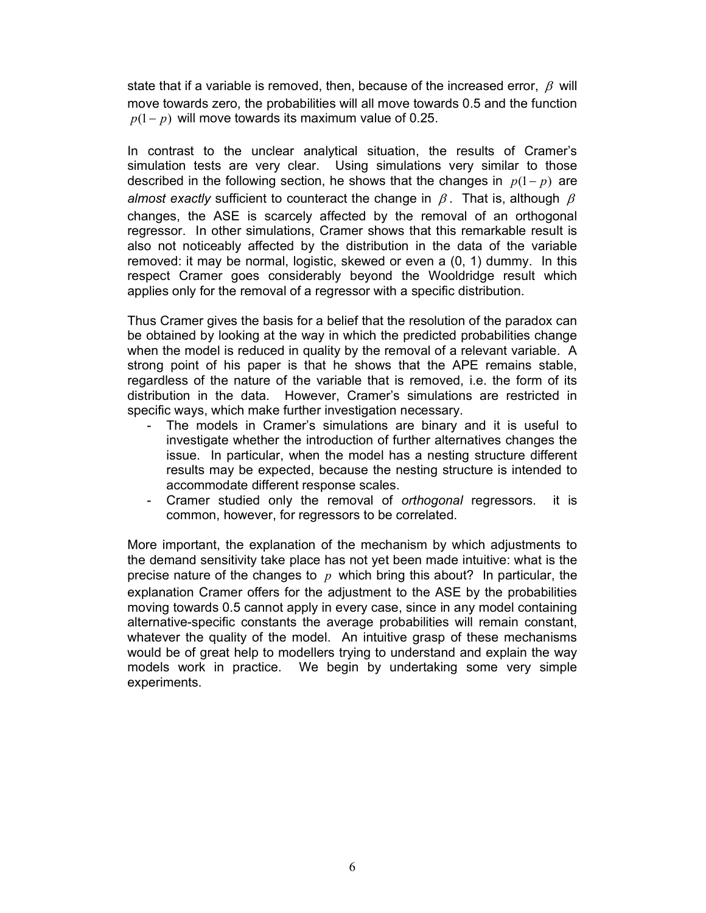state that if a variable is removed, then, because of the increased error,  $\beta$  will move towards zero, the probabilities will all move towards 0.5 and the function  $p(1-p)$  will move towards its maximum value of 0.25.

In contrast to the unclear analytical situation, the results of Cramer's simulation tests are very clear. Using simulations very similar to those described in the following section, he shows that the changes in  $p(1-p)$  are almost exactly sufficient to counteract the change in  $\beta$ . That is, although  $\beta$ changes, the ASE is scarcely affected by the removal of an orthogonal regressor. In other simulations, Cramer shows that this remarkable result is also not noticeably affected by the distribution in the data of the variable removed: it may be normal, logistic, skewed or even a (0, 1) dummy. In this respect Cramer goes considerably beyond the Wooldridge result which applies only for the removal of a regressor with a specific distribution.

Thus Cramer gives the basis for a belief that the resolution of the paradox can be obtained by looking at the way in which the predicted probabilities change when the model is reduced in quality by the removal of a relevant variable. A strong point of his paper is that he shows that the APE remains stable, regardless of the nature of the variable that is removed, i.e. the form of its distribution in the data. However, Cramer's simulations are restricted in specific ways, which make further investigation necessary.

- The models in Cramer's simulations are binary and it is useful to investigate whether the introduction of further alternatives changes the issue. In particular, when the model has a nesting structure different results may be expected, because the nesting structure is intended to accommodate different response scales.
- Cramer studied only the removal of orthogonal regressors. it is common, however, for regressors to be correlated.

More important, the explanation of the mechanism by which adjustments to the demand sensitivity take place has not yet been made intuitive: what is the precise nature of the changes to  $p$  which bring this about? In particular, the explanation Cramer offers for the adjustment to the ASE by the probabilities moving towards 0.5 cannot apply in every case, since in any model containing alternative-specific constants the average probabilities will remain constant, whatever the quality of the model. An intuitive grasp of these mechanisms would be of great help to modellers trying to understand and explain the way models work in practice. We begin by undertaking some very simple experiments.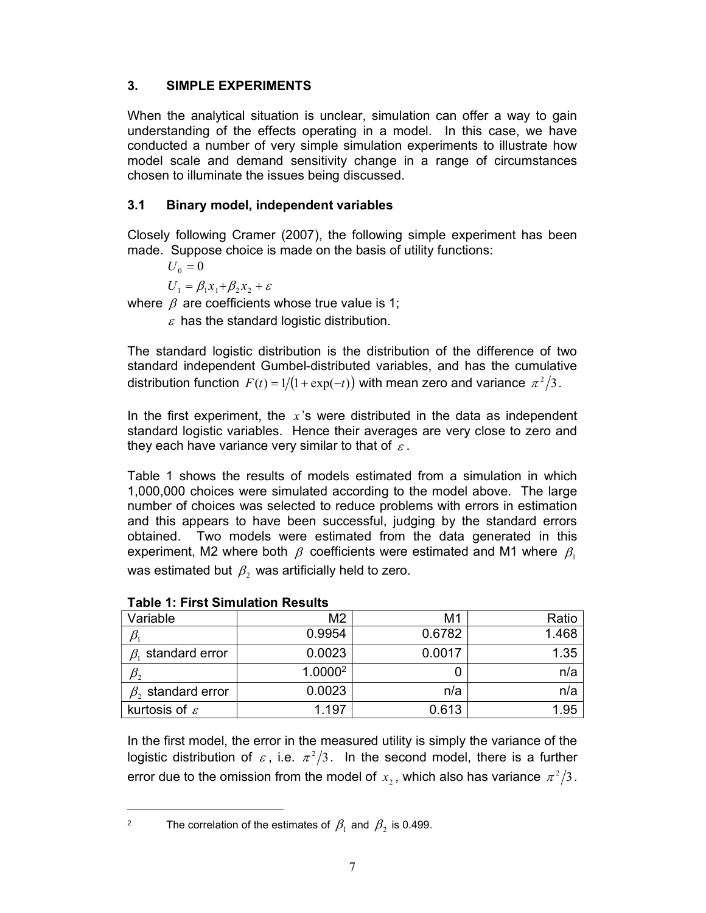# 3. SIMPLE EXPERIMENTS

When the analytical situation is unclear, simulation can offer a way to gain understanding of the effects operating in a model. In this case, we have conducted a number of very simple simulation experiments to illustrate how model scale and demand sensitivity change in a range of circumstances chosen to illuminate the issues being discussed.

# 3.1 Binary model, independent variables

Closely following Cramer (2007), the following simple experiment has been made. Suppose choice is made on the basis of utility functions:

 $U_0 = 0$ 

 $U_1 = \beta_1 x_1 + \beta_2 x_2 + \varepsilon$ 

where  $\beta$  are coefficients whose true value is 1;

 $\varepsilon$  has the standard logistic distribution.

The standard logistic distribution is the distribution of the difference of two standard independent Gumbel-distributed variables, and has the cumulative distribution function  $F(t) = 1/(1 + \exp(-t))$  with mean zero and variance  $\pi^2/3$ .

In the first experiment, the  $x$ 's were distributed in the data as independent standard logistic variables. Hence their averages are very close to zero and they each have variance very similar to that of  $\varepsilon$ .

Table 1 shows the results of models estimated from a simulation in which 1,000,000 choices were simulated according to the model above. The large number of choices was selected to reduce problems with errors in estimation and this appears to have been successful, judging by the standard errors obtained. Two models were estimated from the data generated in this experiment, M2 where both  $\beta$  coefficients were estimated and M1 where  $\beta_1$ was estimated but  $\,\beta_{\scriptscriptstyle 2}\,$  was artificially held to zero.

| Variable                  | M <sub>2</sub>      | M <sub>1</sub> | Ratio |
|---------------------------|---------------------|----------------|-------|
|                           | 0.9954              | 0.6782         | 1.468 |
| standard error            | 0.0023              | 0.0017         | 1.35  |
| $p_{2}$                   | 1.0000 <sup>2</sup> |                | n/a   |
| $\beta$ , standard error  | 0.0023              | n/a            | n/a   |
| kurtosis of $\varepsilon$ | 1.197               | 0.613          | 1.95  |

In the first model, the error in the measured utility is simply the variance of the logistic distribution of  $\varepsilon$ , i.e.  $\pi^2/3$ . In the second model, there is a further error due to the omission from the model of  $x_{\scriptscriptstyle 2}$  , which also has variance  $\,\pi^2/3\,.$ 

The correlation of the estimates of  $\,\beta_{\rm l}$  and  $\,\beta_{\rm 2}$  is 0.499.

2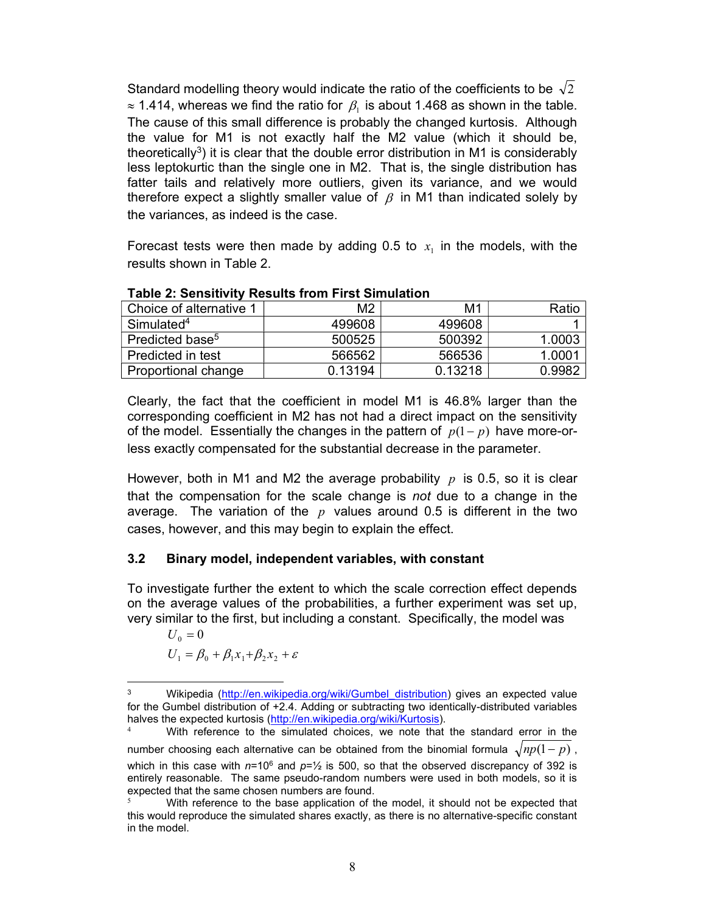Standard modelling theory would indicate the ratio of the coefficients to be  $\sqrt{2}$  $\approx$  1.414, whereas we find the ratio for  $\,\beta_{\scriptscriptstyle \rm I}$  is about 1.468 as shown in the table. The cause of this small difference is probably the changed kurtosis. Although the value for M1 is not exactly half the M2 value (which it should be, theoretically<sup>3</sup>) it is clear that the double error distribution in M1 is considerably less leptokurtic than the single one in M2. That is, the single distribution has fatter tails and relatively more outliers, given its variance, and we would therefore expect a slightly smaller value of  $\beta$  in M1 than indicated solely by the variances, as indeed is the case.

Forecast tests were then made by adding 0.5 to  $x_1$  in the models, with the results shown in Table 2.

| Choice of alternative 1     | M <sub>2</sub> | M1      | Ratio         |
|-----------------------------|----------------|---------|---------------|
| Simulated <sup>4</sup>      | 499608         | 499608  |               |
| Predicted base <sup>5</sup> | 500525         | 500392  | 1.0003        |
| Predicted in test           | 566562         | 566536  | 1 0001        |
| Proportional change         | 0.13194        | 0.13218 | <u>በ 9982</u> |

Table 2: Sensitivity Results from First Simulation

Clearly, the fact that the coefficient in model M1 is 46.8% larger than the corresponding coefficient in M2 has not had a direct impact on the sensitivity of the model. Essentially the changes in the pattern of  $p(1-p)$  have more-orless exactly compensated for the substantial decrease in the parameter.

However, both in M1 and M2 the average probability  $p$  is 0.5, so it is clear that the compensation for the scale change is not due to a change in the average. The variation of the  $p$  values around 0.5 is different in the two cases, however, and this may begin to explain the effect.

#### 3.2 Binary model, independent variables, with constant

To investigate further the extent to which the scale correction effect depends on the average values of the probabilities, a further experiment was set up, very similar to the first, but including a constant. Specifically, the model was

 $U_0 = 0$ 

$$
U_1 = \beta_0 + \beta_1 x_1 + \beta_2 x_2 + \varepsilon
$$

<sup>3</sup> Wikipedia (http://en.wikipedia.org/wiki/Gumbel distribution) gives an expected value for the Gumbel distribution of +2.4. Adding or subtracting two identically-distributed variables halves the expected kurtosis (http://en.wikipedia.org/wiki/Kurtosis).

With reference to the simulated choices, we note that the standard error in the number choosing each alternative can be obtained from the binomial formula  $\sqrt{np(1-p)}$ , which in this case with  $n=10^6$  and  $p=1/2$  is 500, so that the observed discrepancy of 392 is entirely reasonable. The same pseudo-random numbers were used in both models, so it is expected that the same chosen numbers are found.

With reference to the base application of the model, it should not be expected that this would reproduce the simulated shares exactly, as there is no alternative-specific constant in the model.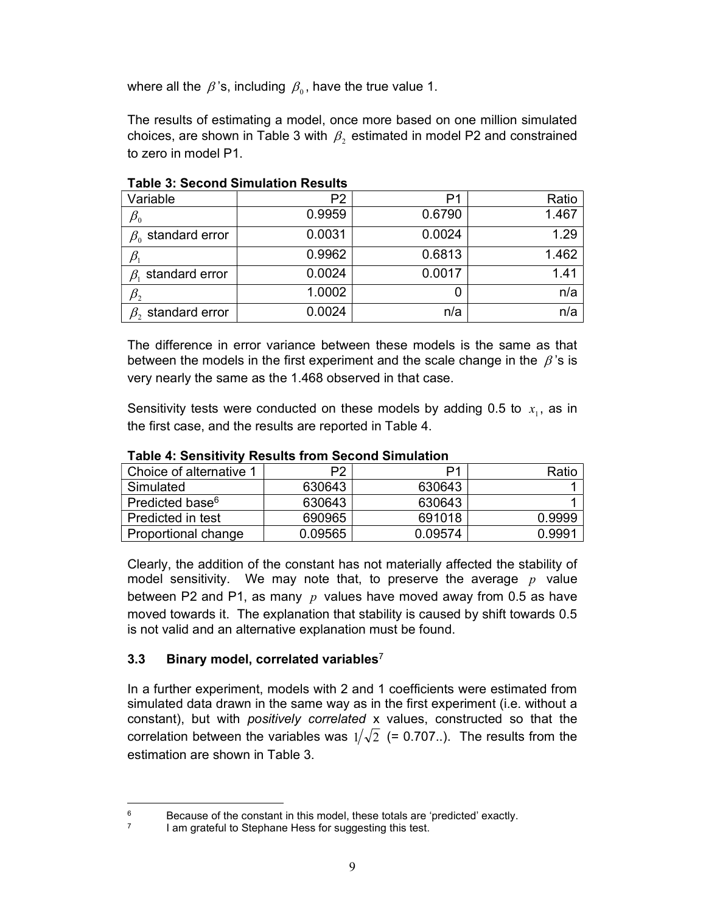where all the  $\,\beta$  's, including  $\,\beta_{\scriptscriptstyle 0}$ , have the true value 1.

The results of estimating a model, once more based on one million simulated choices, are shown in Table 3 with  $\,\beta_{2}$  estimated in model P2 and constrained to zero in model P1.

| P2     | P1     | Ratio |
|--------|--------|-------|
| 0.9959 | 0.6790 | 1.467 |
| 0.0031 | 0.0024 | 1.29  |
| 0.9962 | 0.6813 | 1.462 |
| 0.0024 | 0.0017 | 1.41  |
| 1.0002 |        | n/a   |
| 0.0024 | n/a    | n/a   |
|        |        |       |

Table 3: Second Simulation Results

The difference in error variance between these models is the same as that between the models in the first experiment and the scale change in the  $\beta$ 's is very nearly the same as the 1.468 observed in that case.

Sensitivity tests were conducted on these models by adding 0.5 to  $x_1$ , as in the first case, and the results are reported in Table 4.

| Choice of alternative 1     | P <sub>2</sub> | D1      | Ratio  |  |  |  |
|-----------------------------|----------------|---------|--------|--|--|--|
| Simulated                   | 630643         | 630643  |        |  |  |  |
| Predicted base <sup>6</sup> | 630643         | 630643  |        |  |  |  |
| Predicted in test           | 690965         | 691018  | 0.9999 |  |  |  |
| Proportional change         | 0.09565        | 0.09574 | 0.9991 |  |  |  |

Table 4: Sensitivity Results from Second Simulation

Clearly, the addition of the constant has not materially affected the stability of model sensitivity. We may note that, to preserve the average  $p$  value between P2 and P1, as many  $p$  values have moved away from 0.5 as have moved towards it. The explanation that stability is caused by shift towards 0.5 is not valid and an alternative explanation must be found.

## 3.3 Binary model, correlated variables $7$

In a further experiment, models with 2 and 1 coefficients were estimated from simulated data drawn in the same way as in the first experiment (i.e. without a constant), but with positively correlated x values, constructed so that the correlation between the variables was  $1/\sqrt{2}$  (= 0.707..). The results from the estimation are shown in Table 3.

<sup>6</sup> Because of the constant in this model, these totals are 'predicted' exactly.

<sup>7</sup> I am grateful to Stephane Hess for suggesting this test.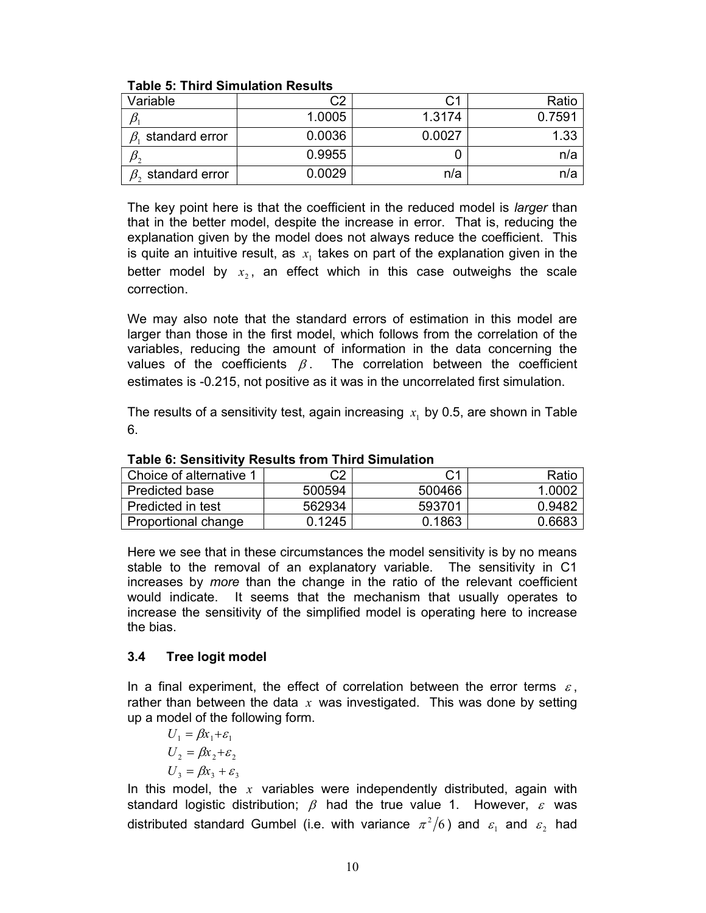| Variable                 | C2     | С1     | Ratio  |
|--------------------------|--------|--------|--------|
|                          | 1.0005 | 1.3174 | 0.7591 |
| standard error<br>ß.     | 0.0036 | 0.0027 | 1.33   |
|                          | 0.9955 |        | n/a    |
| $\beta$ , standard error | 0.0029 | n/a    | n/a    |

### Table 5: Third Simulation Results

The key point here is that the coefficient in the reduced model is *larger* than that in the better model, despite the increase in error. That is, reducing the explanation given by the model does not always reduce the coefficient. This is quite an intuitive result, as  $x<sub>i</sub>$  takes on part of the explanation given in the better model by  $x_2$ , an effect which in this case outweighs the scale correction.

We may also note that the standard errors of estimation in this model are larger than those in the first model, which follows from the correlation of the variables, reducing the amount of information in the data concerning the values of the coefficients  $\beta$ . The correlation between the coefficient estimates is -0.215, not positive as it was in the uncorrelated first simulation.

The results of a sensitivity test, again increasing  $x<sub>i</sub>$  by 0.5, are shown in Table 6.

| Choice of alternative 1 | C <sub>2</sub> | C1     | Ratio  |  |  |  |
|-------------------------|----------------|--------|--------|--|--|--|
| <b>Predicted base</b>   | 500594         | 500466 | 1.0002 |  |  |  |
| Predicted in test       | 562934         | 593701 | 0.9482 |  |  |  |
| Proportional change     | 0.1245         | 0.1863 | 0.6683 |  |  |  |

Table 6: Sensitivity Results from Third Simulation

Here we see that in these circumstances the model sensitivity is by no means stable to the removal of an explanatory variable. The sensitivity in C1 increases by more than the change in the ratio of the relevant coefficient would indicate. It seems that the mechanism that usually operates to increase the sensitivity of the simplified model is operating here to increase the bias.

## 3.4 Tree logit model

In a final experiment, the effect of correlation between the error terms  $\varepsilon$ , rather than between the data x was investigated. This was done by setting up a model of the following form.

 $U_1 = \beta x_1 + \varepsilon_1$  $U_2 = \beta x_2 + \varepsilon_2$  $U_3 = \beta x_3 + \varepsilon_3$ 

In this model, the  $x$  variables were independently distributed, again with standard logistic distribution;  $\beta$  had the true value 1. However,  $\varepsilon$  was distributed standard Gumbel (i.e. with variance  $\pi^2/6$ ) and  $\varepsilon_1$  and  $\varepsilon_2$  had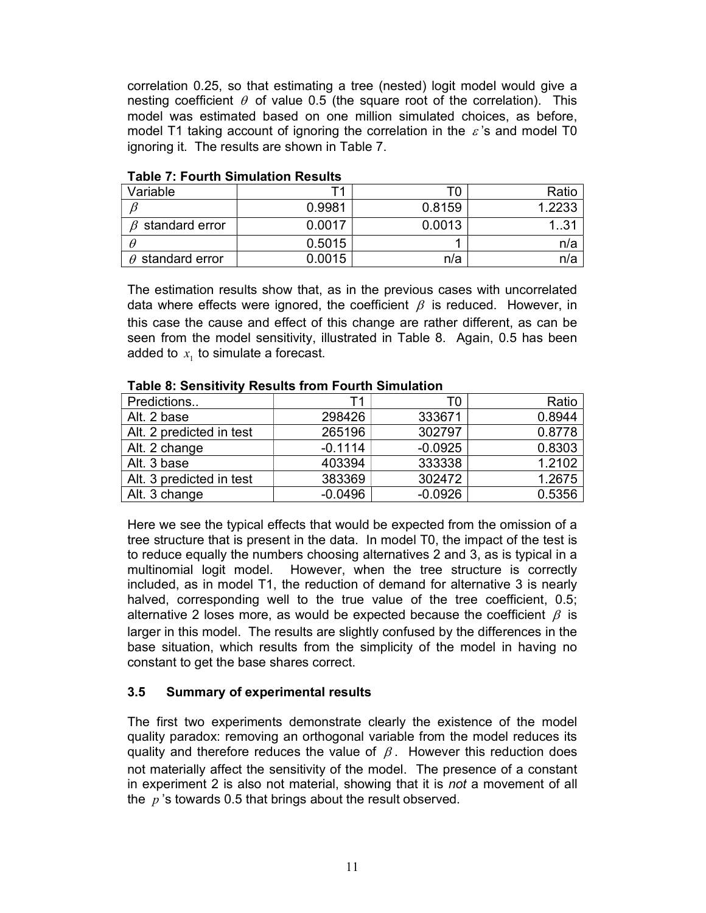correlation 0.25, so that estimating a tree (nested) logit model would give a nesting coefficient  $\theta$  of value 0.5 (the square root of the correlation). This model was estimated based on one million simulated choices, as before, model T1 taking account of ignoring the correlation in the  $\epsilon$ 's and model T0 ignoring it. The results are shown in Table 7.

| Variable                |        |        | Ratio  |
|-------------------------|--------|--------|--------|
|                         | 0.9981 | 0.8159 | 1.2233 |
| $\beta$ standard error  | 0.0017 | 0.0013 | 131    |
|                         | 0.5015 |        | n/a    |
| $\theta$ standard error | 0.0015 | n/a    | n/a    |

#### Table 7: Fourth Simulation Results

The estimation results show that, as in the previous cases with uncorrelated data where effects were ignored, the coefficient  $\beta$  is reduced. However, in this case the cause and effect of this change are rather different, as can be seen from the model sensitivity, illustrated in Table 8. Again, 0.5 has been added to  $x_1$  to simulate a forecast.

| <u>rapic 0. Ochsitivity results from Fourth Omnufation</u> |           |           |        |  |  |  |
|------------------------------------------------------------|-----------|-----------|--------|--|--|--|
| Predictions                                                | <b>11</b> | ГO        | Ratio  |  |  |  |
| Alt. 2 base                                                | 298426    | 333671    | 0.8944 |  |  |  |
| Alt. 2 predicted in test                                   | 265196    | 302797    | 0.8778 |  |  |  |
| Alt. 2 change                                              | $-0.1114$ | $-0.0925$ | 0.8303 |  |  |  |
| Alt. 3 base                                                | 403394    | 333338    | 1.2102 |  |  |  |
| Alt. 3 predicted in test                                   | 383369    | 302472    | 1.2675 |  |  |  |
| Alt. 3 change                                              | $-0.0496$ | $-0.0926$ | 0.5356 |  |  |  |

#### Table 8: Sensitivity Results from Fourth Simulation

Here we see the typical effects that would be expected from the omission of a tree structure that is present in the data. In model T0, the impact of the test is to reduce equally the numbers choosing alternatives 2 and 3, as is typical in a multinomial logit model. However, when the tree structure is correctly included, as in model T1, the reduction of demand for alternative 3 is nearly halved, corresponding well to the true value of the tree coefficient, 0.5; alternative 2 loses more, as would be expected because the coefficient  $\beta$  is larger in this model. The results are slightly confused by the differences in the base situation, which results from the simplicity of the model in having no constant to get the base shares correct.

## 3.5 Summary of experimental results

The first two experiments demonstrate clearly the existence of the model quality paradox: removing an orthogonal variable from the model reduces its quality and therefore reduces the value of  $\beta$ . However this reduction does not materially affect the sensitivity of the model. The presence of a constant in experiment 2 is also not material, showing that it is not a movement of all the  $p$ 's towards 0.5 that brings about the result observed.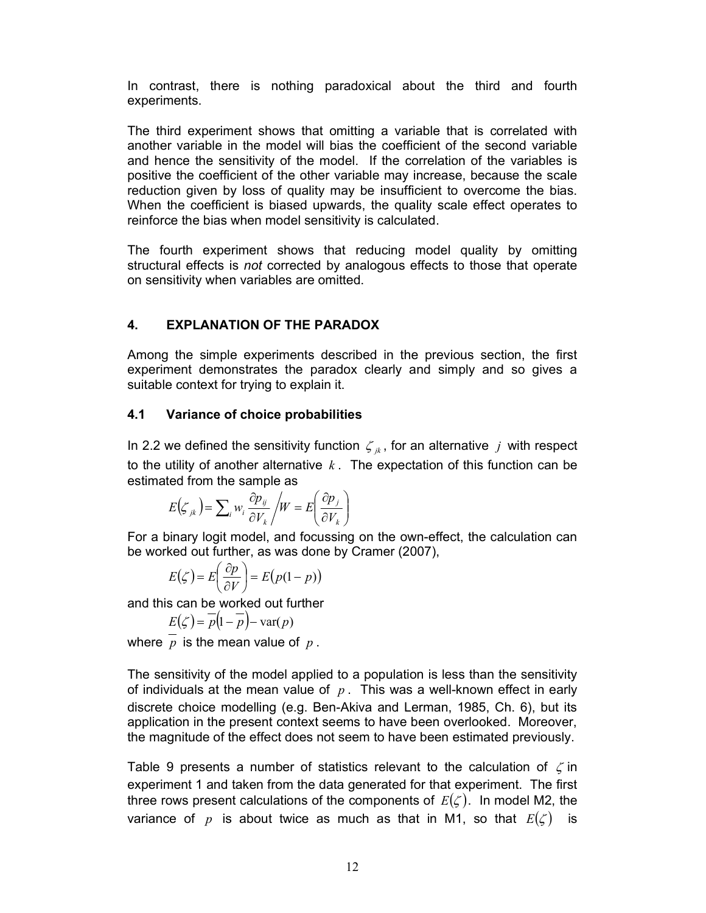In contrast, there is nothing paradoxical about the third and fourth experiments.

The third experiment shows that omitting a variable that is correlated with another variable in the model will bias the coefficient of the second variable and hence the sensitivity of the model. If the correlation of the variables is positive the coefficient of the other variable may increase, because the scale reduction given by loss of quality may be insufficient to overcome the bias. When the coefficient is biased upwards, the quality scale effect operates to reinforce the bias when model sensitivity is calculated.

The fourth experiment shows that reducing model quality by omitting structural effects is not corrected by analogous effects to those that operate on sensitivity when variables are omitted.

## 4. EXPLANATION OF THE PARADOX

Among the simple experiments described in the previous section, the first experiment demonstrates the paradox clearly and simply and so gives a suitable context for trying to explain it.

### 4.1 Variance of choice probabilities

In 2.2 we defined the sensitivity function  $\zeta_{ik}$ , for an alternative j with respect to the utility of another alternative  $k$ . The expectation of this function can be estimated from the sample as e coefficient is biased upwards, the quality scale effect operates to<br>the bias when model sensitivity is calculated.<br>The experiment shows that reducing model quality by omitting<br>in effects is *not* corrected by analogous divity when variables are omitted.<br> **EXPLANATION OF THE PARADOX**<br>
the simple experiments described in the previous section, the first<br>
entity denotes the paradox clearly and simply and so gives a<br>
context for trying to ex

$$
E(\zeta_{jk}) = \sum_{i} w_i \frac{\partial p_{ij}}{\partial V_k} / W = E\left(\frac{\partial p_j}{\partial V_k}\right)
$$

For a binary logit model, and focussing on the own-effect, the calculation can be worked out further, as was done by Cramer (2007),

$$
E(\zeta) = E\left(\frac{\partial p}{\partial V}\right) = E\left(p(1-p)\right)
$$

and this can be worked out further

$$
E(\zeta) = \overline{p}\left(1 - \overline{p}\right) - \text{var}(p)
$$

where  $p$  is the mean value of  $p$ .

The sensitivity of the model applied to a population is less than the sensitivity of individuals at the mean value of  $p$ . This was a well-known effect in early discrete choice modelling (e.g. Ben-Akiva and Lerman, 1985, Ch. 6), but its application in the present context seems to have been overlooked. Moreover, the magnitude of the effect does not seem to have been estimated previously.

Table 9 presents a number of statistics relevant to the calculation of  $\zeta$  in experiment 1 and taken from the data generated for that experiment. The first three rows present calculations of the components of  $E(\zeta)$ . In model M2, the variance of p is about twice as much as that in M1, so that  $E(\zeta)$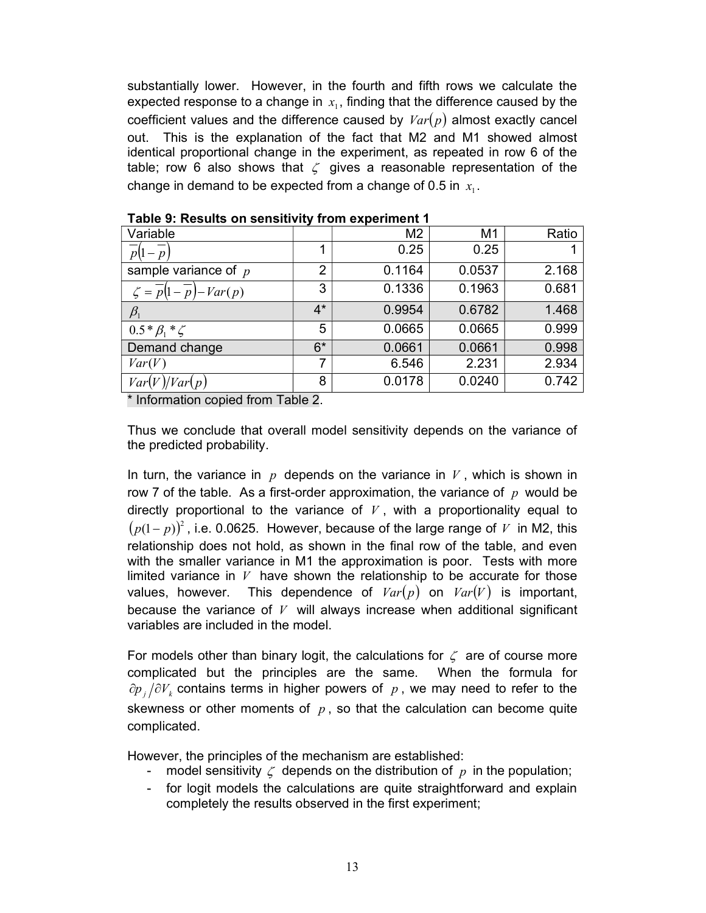substantially lower. However, in the fourth and fifth rows we calculate the expected response to a change in  $x_i$ , finding that the difference caused by the coefficient values and the difference caused by  $Var(p)$  almost exactly cancel out. This is the explanation of the fact that M2 and M1 showed almost identical proportional change in the experiment, as repeated in row 6 of the table; row 6 also shows that  $\zeta$  gives a reasonable representation of the change in demand to be expected from a change of 0.5 in  $x_i$ .

| Variable                                                     |       | M <sub>2</sub> | M <sub>1</sub> | Ratio |
|--------------------------------------------------------------|-------|----------------|----------------|-------|
| $p(1-p)$                                                     |       | 0.25           | 0.25           |       |
| sample variance of $p$                                       | 2     | 0.1164         | 0.0537         | 2.168 |
| $\zeta = \overline{p}\left(1 - \overline{p}\right) - Var(p)$ | 3     | 0.1336         | 0.1963         | 0.681 |
| $\beta_{\scriptscriptstyle 1}$                               | $4^*$ | 0.9954         | 0.6782         | 1.468 |
| $0.5 * \beta_1 * \zeta$                                      | 5     | 0.0665         | 0.0665         | 0.999 |
| Demand change                                                | $6*$  | 0.0661         | 0.0661         | 0.998 |
| Var(V)                                                       | 7     | 6.546          | 2.231          | 2.934 |
| Var(<br>Var(p)                                               | 8     | 0.0178         | 0.0240         | 0.742 |

Table 9: Results on sensitivity from experiment 1

\* Information copied from Table 2.

Thus we conclude that overall model sensitivity depends on the variance of the predicted probability.

In turn, the variance in  $p$  depends on the variance in  $V$ , which is shown in row 7 of the table. As a first-order approximation, the variance of  $p$  would be directly proportional to the variance of  $V$ , with a proportionality equal to  $(p(1-p))^2$ , i.e. 0.0625. However, because of the large range of V in M2, this relationship does not hold, as shown in the final row of the table, and even with the smaller variance in M1 the approximation is poor. Tests with more limited variance in  $V$  have shown the relationship to be accurate for those values, however. This dependence of  $Var(p)$  on  $Var(V)$  is important, because the variance of  $V$  will always increase when additional significant variables are included in the model.

For models other than binary logit, the calculations for  $\zeta$  are of course more complicated but the principles are the same. When the formula for  $\partial p_i/\partial V_k$  contains terms in higher powers of p, we may need to refer to the skewness or other moments of  $p$ , so that the calculation can become quite complicated.

However, the principles of the mechanism are established:

- model sensitivity  $\zeta$  depends on the distribution of p in the population;
- for logit models the calculations are quite straightforward and explain completely the results observed in the first experiment;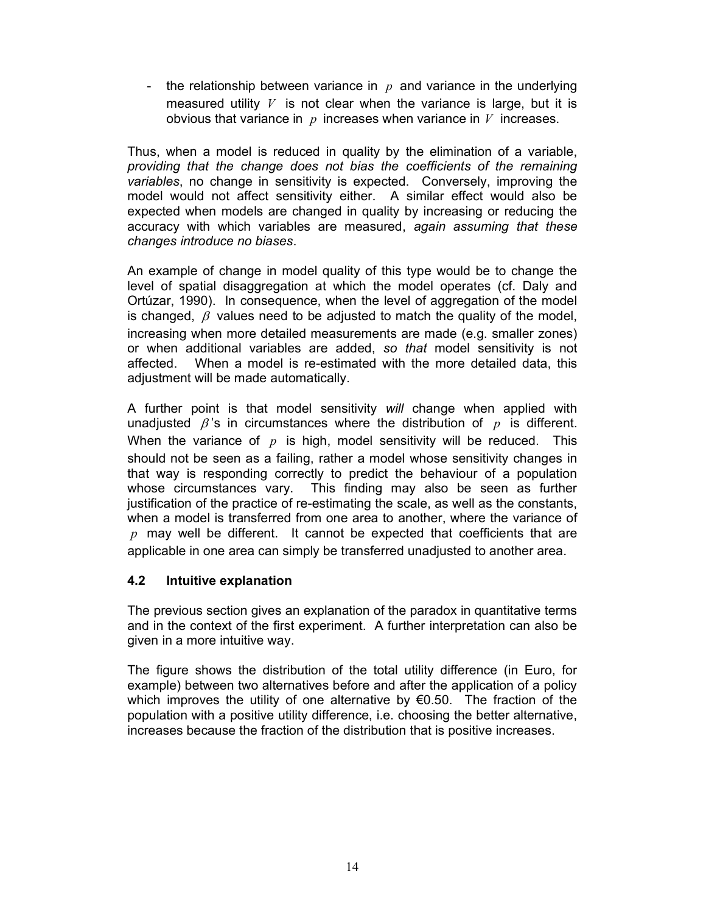- the relationship between variance in  $p$  and variance in the underlying measured utility  $V$  is not clear when the variance is large, but it is obvious that variance in  $p$  increases when variance in  $V$  increases.

Thus, when a model is reduced in quality by the elimination of a variable, providing that the change does not bias the coefficients of the remaining variables, no change in sensitivity is expected. Conversely, improving the model would not affect sensitivity either. A similar effect would also be expected when models are changed in quality by increasing or reducing the accuracy with which variables are measured, again assuming that these changes introduce no biases.

An example of change in model quality of this type would be to change the level of spatial disaggregation at which the model operates (cf. Daly and Ortúzar, 1990). In consequence, when the level of aggregation of the model is changed,  $\beta$  values need to be adjusted to match the quality of the model, increasing when more detailed measurements are made (e.g. smaller zones) or when additional variables are added, so that model sensitivity is not affected. When a model is re-estimated with the more detailed data, this adjustment will be made automatically.

A further point is that model sensitivity will change when applied with unadjusted  $\beta$ 's in circumstances where the distribution of  $p$  is different. When the variance of  $p$  is high, model sensitivity will be reduced. This should not be seen as a failing, rather a model whose sensitivity changes in that way is responding correctly to predict the behaviour of a population whose circumstances vary. This finding may also be seen as further justification of the practice of re-estimating the scale, as well as the constants, when a model is transferred from one area to another, where the variance of  $p$  may well be different. It cannot be expected that coefficients that are applicable in one area can simply be transferred unadjusted to another area.

### 4.2 Intuitive explanation

The previous section gives an explanation of the paradox in quantitative terms and in the context of the first experiment. A further interpretation can also be given in a more intuitive way.

The figure shows the distribution of the total utility difference (in Euro, for example) between two alternatives before and after the application of a policy which improves the utility of one alternative by €0.50. The fraction of the population with a positive utility difference, i.e. choosing the better alternative, increases because the fraction of the distribution that is positive increases.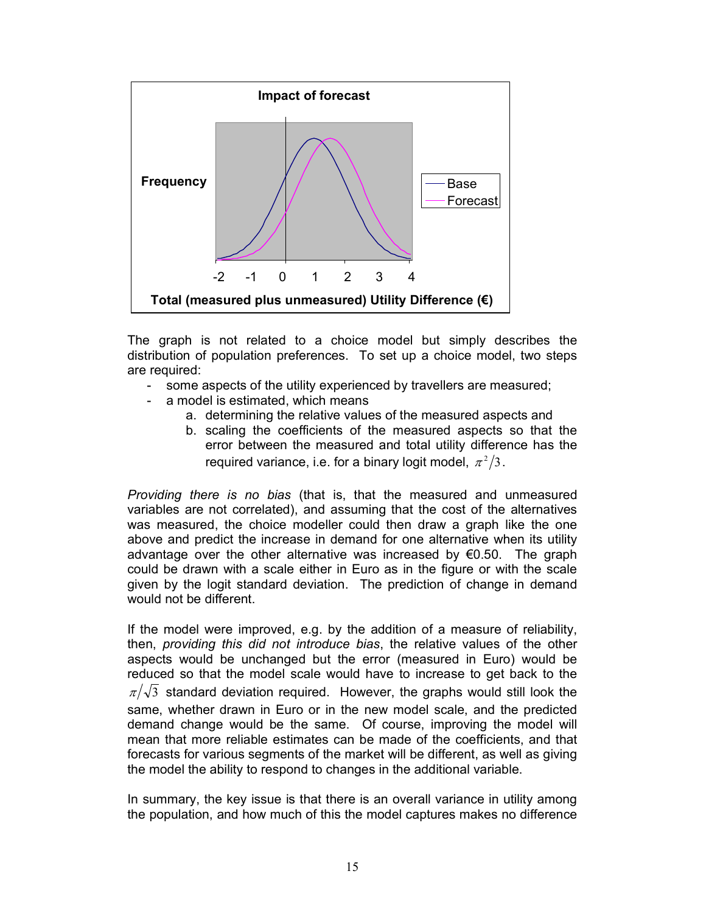

The graph is not related to a choice model but simply describes the distribution of population preferences. To set up a choice model, two steps are required:

- some aspects of the utility experienced by travellers are measured;
- a model is estimated, which means
	- a. determining the relative values of the measured aspects and
	- b. scaling the coefficients of the measured aspects so that the error between the measured and total utility difference has the required variance, i.e. for a binary logit model,  $\,\pi^2/3$  .

Providing there is no bias (that is, that the measured and unmeasured variables are not correlated), and assuming that the cost of the alternatives was measured, the choice modeller could then draw a graph like the one above and predict the increase in demand for one alternative when its utility advantage over the other alternative was increased by  $\epsilon$ 0.50. The graph could be drawn with a scale either in Euro as in the figure or with the scale given by the logit standard deviation. The prediction of change in demand would not be different.

If the model were improved, e.g. by the addition of a measure of reliability, then, providing this did not introduce bias, the relative values of the other aspects would be unchanged but the error (measured in Euro) would be reduced so that the model scale would have to increase to get back to the  $\pi/\sqrt{3}$  standard deviation required. However, the graphs would still look the same, whether drawn in Euro or in the new model scale, and the predicted demand change would be the same. Of course, improving the model will mean that more reliable estimates can be made of the coefficients, and that forecasts for various segments of the market will be different, as well as giving the model the ability to respond to changes in the additional variable.

In summary, the key issue is that there is an overall variance in utility among the population, and how much of this the model captures makes no difference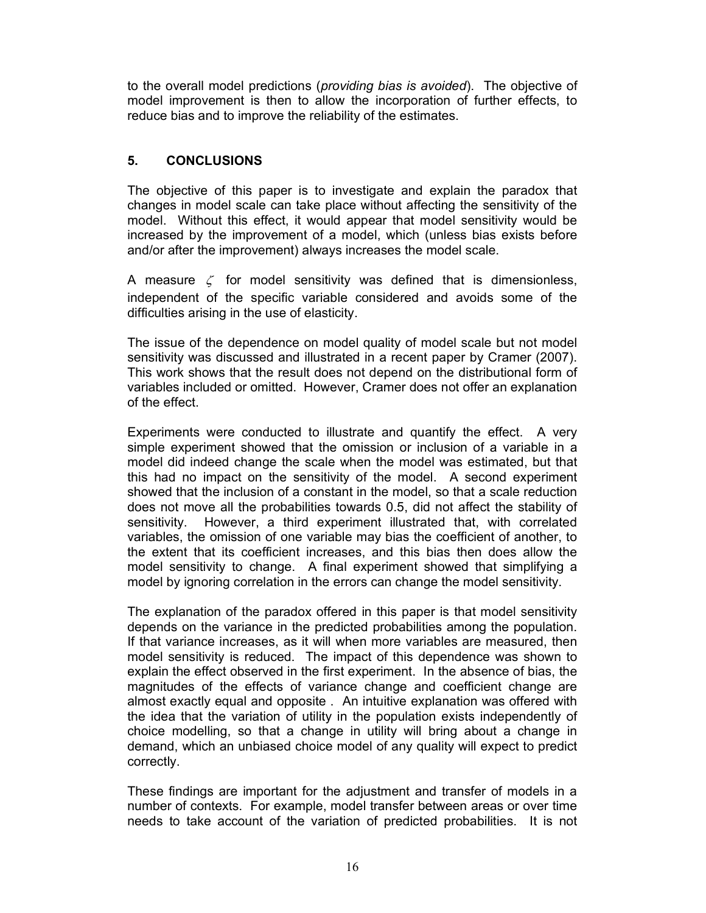to the overall model predictions (providing bias is avoided). The objective of model improvement is then to allow the incorporation of further effects, to reduce bias and to improve the reliability of the estimates.

### 5. CONCLUSIONS

The objective of this paper is to investigate and explain the paradox that changes in model scale can take place without affecting the sensitivity of the model. Without this effect, it would appear that model sensitivity would be increased by the improvement of a model, which (unless bias exists before and/or after the improvement) always increases the model scale.

A measure  $\zeta$  for model sensitivity was defined that is dimensionless, independent of the specific variable considered and avoids some of the difficulties arising in the use of elasticity.

The issue of the dependence on model quality of model scale but not model sensitivity was discussed and illustrated in a recent paper by Cramer (2007). This work shows that the result does not depend on the distributional form of variables included or omitted. However, Cramer does not offer an explanation of the effect.

Experiments were conducted to illustrate and quantify the effect. A very simple experiment showed that the omission or inclusion of a variable in a model did indeed change the scale when the model was estimated, but that this had no impact on the sensitivity of the model. A second experiment showed that the inclusion of a constant in the model, so that a scale reduction does not move all the probabilities towards 0.5, did not affect the stability of sensitivity. However, a third experiment illustrated that, with correlated variables, the omission of one variable may bias the coefficient of another, to the extent that its coefficient increases, and this bias then does allow the model sensitivity to change. A final experiment showed that simplifying a model by ignoring correlation in the errors can change the model sensitivity.

The explanation of the paradox offered in this paper is that model sensitivity depends on the variance in the predicted probabilities among the population. If that variance increases, as it will when more variables are measured, then model sensitivity is reduced. The impact of this dependence was shown to explain the effect observed in the first experiment. In the absence of bias, the magnitudes of the effects of variance change and coefficient change are almost exactly equal and opposite . An intuitive explanation was offered with the idea that the variation of utility in the population exists independently of choice modelling, so that a change in utility will bring about a change in demand, which an unbiased choice model of any quality will expect to predict correctly.

These findings are important for the adjustment and transfer of models in a number of contexts. For example, model transfer between areas or over time needs to take account of the variation of predicted probabilities. It is not